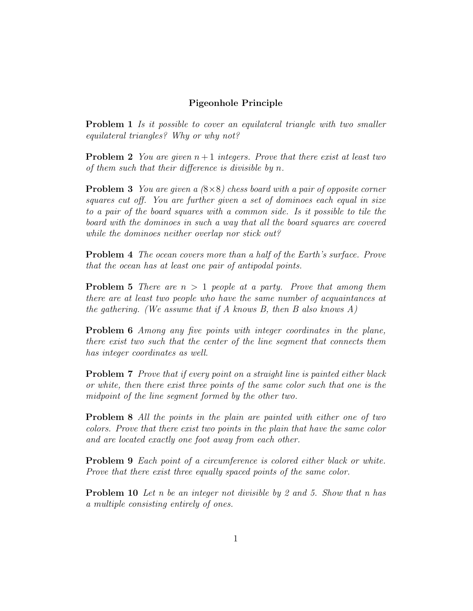## Pigeonhole Principle

**Problem 1** Is it possible to cover an equilateral triangle with two smaller equilateral triangles? Why or why not?

**Problem 2** You are given  $n+1$  integers. Prove that there exist at least two of them such that their difference is divisible by n.

**Problem 3** You are given a  $(8\times8)$  chess board with a pair of opposite corner squares cut off. You are further given a set of dominoes each equal in size to a pair of the board squares with a common side. Is it possible to tile the board with the dominoes in such a way that all the board squares are covered while the dominoes neither overlap nor stick out?

Problem 4 The ocean covers more than a half of the Earth's surface. Prove that the ocean has at least one pair of antipodal points.

**Problem 5** There are  $n > 1$  people at a party. Prove that among them there are at least two people who have the same number of acquaintances at the gathering. (We assume that if  $A$  knows  $B$ , then  $B$  also knows  $A$ )

Problem 6 Among any five points with integer coordinates in the plane, there exist two such that the center of the line segment that connects them has integer coordinates as well.

Problem 7 Prove that if every point on a straight line is painted either black or white, then there exist three points of the same color such that one is the midpoint of the line segment formed by the other two.

Problem 8 All the points in the plain are painted with either one of two colors. Prove that there exist two points in the plain that have the same color and are located exactly one foot away from each other.

Problem 9 Each point of a circumference is colored either black or white. Prove that there exist three equally spaced points of the same color.

Problem 10 Let n be an integer not divisible by 2 and 5. Show that n has a multiple consisting entirely of ones.